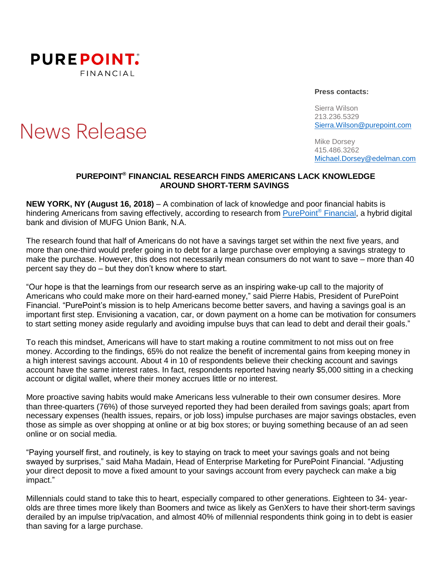

## News Release

**Press contacts:**

Sierra Wilson 213.236.5329 [Sierra.Wilson@purepoint.com](mailto:Sierra.Wilson@purepoint.com)

Mike Dorsey 415.486.3262 [Michael.Dorsey@edelman.com](mailto:Michael.Dorsey@edelman.com)

## **PUREPOINT ® FINANCIAL RESEARCH FINDS AMERICANS LACK KNOWLEDGE AROUND SHORT-TERM SAVINGS**

**NEW YORK, NY (August 16, 2018)** – A combination of lack of knowledge and poor financial habits is hindering Americans from saving effectively, according to research from [PurePoint](https://www.purepoint.com/)® Financial, a hybrid digital bank and division of MUFG Union Bank, N.A.

The research found that half of Americans do not have a savings target set within the next five years, and more than one-third would prefer going in to debt for a large purchase over employing a savings strategy to make the purchase. However, this does not necessarily mean consumers do not want to save – more than 40 percent say they do – but they don't know where to start.

"Our hope is that the learnings from our research serve as an inspiring wake-up call to the majority of Americans who could make more on their hard-earned money," said Pierre Habis, President of PurePoint Financial. "PurePoint's mission is to help Americans become better savers, and having a savings goal is an important first step. Envisioning a vacation, car, or down payment on a home can be motivation for consumers to start setting money aside regularly and avoiding impulse buys that can lead to debt and derail their goals."

To reach this mindset, Americans will have to start making a routine commitment to not miss out on free money. According to the findings, 65% do not realize the benefit of incremental gains from keeping money in a high interest savings account. About 4 in 10 of respondents believe their checking account and savings account have the same interest rates. In fact, respondents reported having nearly \$5,000 sitting in a checking account or digital wallet, where their money accrues little or no interest.

More proactive saving habits would make Americans less vulnerable to their own consumer desires. More than three-quarters (76%) of those surveyed reported they had been derailed from savings goals; apart from necessary expenses (health issues, repairs, or job loss) impulse purchases are major savings obstacles, even those as simple as over shopping at online or at big box stores; or buying something because of an ad seen online or on social media.

"Paying yourself first, and routinely, is key to staying on track to meet your savings goals and not being swayed by surprises," said Maha Madain, Head of Enterprise Marketing for PurePoint Financial. "Adjusting your direct deposit to move a fixed amount to your savings account from every paycheck can make a big impact."

Millennials could stand to take this to heart, especially compared to other generations. Eighteen to 34- yearolds are three times more likely than Boomers and twice as likely as GenXers to have their short-term savings derailed by an impulse trip/vacation, and almost 40% of millennial respondents think going in to debt is easier than saving for a large purchase.